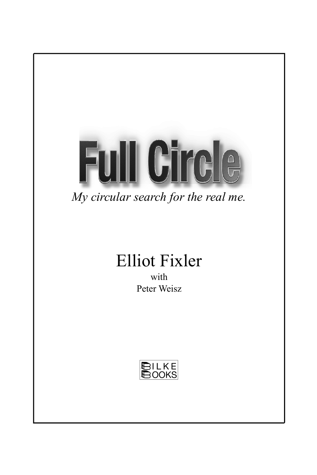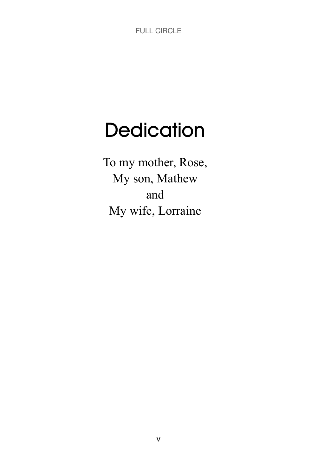# **Dedication**

To my mother, Rose, My son, Mathew and My wife, Lorraine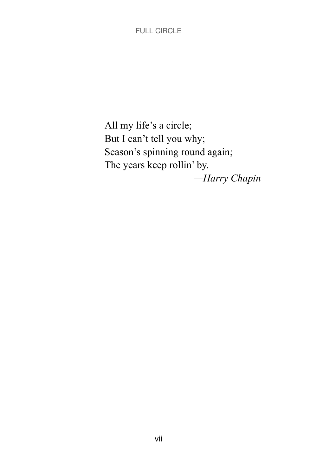All my life's a circle; But I can't tell you why; Season's spinning round again; The years keep rollin' by. *—Harry Chapin*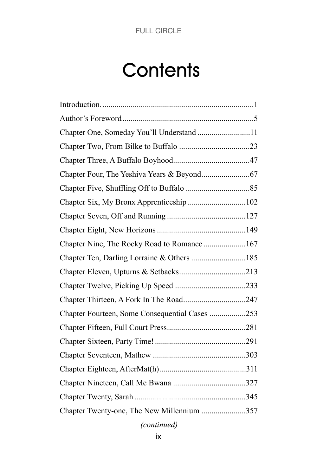# **Contents**

| Chapter One, Someday You'll Understand 11      |  |
|------------------------------------------------|--|
|                                                |  |
|                                                |  |
|                                                |  |
|                                                |  |
| Chapter Six, My Bronx Apprenticeship102        |  |
|                                                |  |
|                                                |  |
| Chapter Nine, The Rocky Road to Romance167     |  |
|                                                |  |
|                                                |  |
|                                                |  |
| Chapter Thirteen, A Fork In The Road247        |  |
| Chapter Fourteen, Some Consequential Cases 253 |  |
|                                                |  |
|                                                |  |
|                                                |  |
|                                                |  |
|                                                |  |
|                                                |  |
| Chapter Twenty-one, The New Millennium 357     |  |
|                                                |  |

# *(continued)*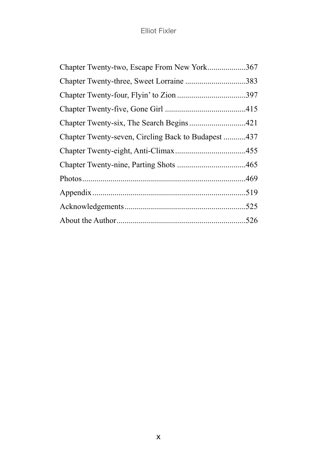| Chapter Twenty-two, Escape From New York367         |  |
|-----------------------------------------------------|--|
| Chapter Twenty-three, Sweet Lorraine 383            |  |
|                                                     |  |
|                                                     |  |
|                                                     |  |
| Chapter Twenty-seven, Circling Back to Budapest 437 |  |
|                                                     |  |
|                                                     |  |
|                                                     |  |
|                                                     |  |
|                                                     |  |
|                                                     |  |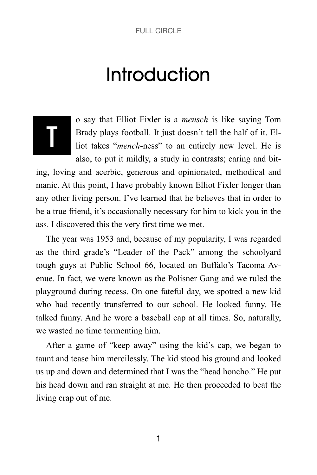# **Introduction**

# T

o say that Elliot Fixler is a *mensch* is like saying Tom Brady plays football. It just doesn't tell the half of it. Elliot takes "*mench*-ness" to an entirely new level. He is also, to put it mildly, a study in contrasts; caring and bit-

ing, loving and acerbic, generous and opinionated, methodical and manic. At this point, I have probably known Elliot Fixler longer than any other living person. I've learned that he believes that in order to be a true friend, it's occasionally necessary for him to kick you in the ass. I discovered this the very first time we met.

The year was 1953 and, because of my popularity, I was regarded as the third grade's "Leader of the Pack" among the schoolyard tough guys at Public School 66, located on Buffalo's Tacoma Avenue. In fact, we were known as the Polisner Gang and we ruled the playground during recess. On one fateful day, we spotted a new kid who had recently transferred to our school. He looked funny. He talked funny. And he wore a baseball cap at all times. So, naturally, we wasted no time tormenting him.

After a game of "keep away" using the kid's cap, we began to taunt and tease him mercilessly. The kid stood his ground and looked us up and down and determined that I was the "head honcho." He put his head down and ran straight at me. He then proceeded to beat the living crap out of me.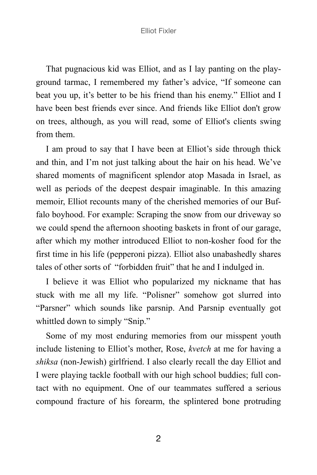That pugnacious kid was Elliot, and as I lay panting on the playground tarmac, I remembered my father's advice, "If someone can beat you up, it's better to be his friend than his enemy." Elliot and I have been best friends ever since. And friends like Elliot don't grow on trees, although, as you will read, some of Elliot's clients swing from them.

I am proud to say that I have been at Elliot's side through thick and thin, and I'm not just talking about the hair on his head. We've shared moments of magnificent splendor atop Masada in Israel, as well as periods of the deepest despair imaginable. In this amazing memoir, Elliot recounts many of the cherished memories of our Buffalo boyhood. For example: Scraping the snow from our driveway so we could spend the afternoon shooting baskets in front of our garage, after which my mother introduced Elliot to non-kosher food for the first time in his life (pepperoni pizza). Elliot also unabashedly shares tales of other sorts of "forbidden fruit" that he and I indulged in.

I believe it was Elliot who popularized my nickname that has stuck with me all my life. "Polisner" somehow got slurred into "Parsner" which sounds like parsnip. And Parsnip eventually got whittled down to simply "Snip."

Some of my most enduring memories from our misspent youth include listening to Elliot's mother, Rose, *kvetch* at me for having a *shiksa* (non-Jewish) girlfriend. I also clearly recall the day Elliot and I were playing tackle football with our high school buddies; full contact with no equipment. One of our teammates suffered a serious compound fracture of his forearm, the splintered bone protruding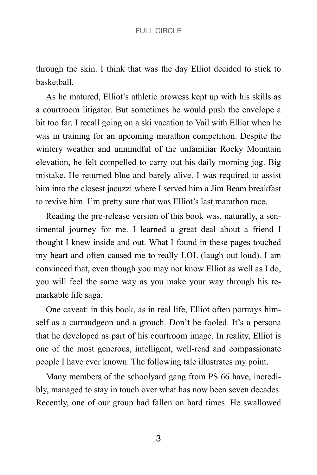through the skin. I think that was the day Elliot decided to stick to basketball.

As he matured, Elliot's athletic prowess kept up with his skills as a courtroom litigator. But sometimes he would push the envelope a bit too far. I recall going on a ski vacation to Vail with Elliot when he was in training for an upcoming marathon competition. Despite the wintery weather and unmindful of the unfamiliar Rocky Mountain elevation, he felt compelled to carry out his daily morning jog. Big mistake. He returned blue and barely alive. I was required to assist him into the closest jacuzzi where I served him a Jim Beam breakfast to revive him. I'm pretty sure that was Elliot's last marathon race.

Reading the pre-release version of this book was, naturally, a sentimental journey for me. I learned a great deal about a friend I thought I knew inside and out. What I found in these pages touched my heart and often caused me to really LOL (laugh out loud). I am convinced that, even though you may not know Elliot as well as I do, you will feel the same way as you make your way through his remarkable life saga.

One caveat: in this book, as in real life, Elliot often portrays himself as a curmudgeon and a grouch. Don't be fooled. It's a persona that he developed as part of his courtroom image. In reality, Elliot is one of the most generous, intelligent, well-read and compassionate people I have ever known. The following tale illustrates my point.

Many members of the schoolyard gang from PS 66 have, incredibly, managed to stay in touch over what has now been seven decades. Recently, one of our group had fallen on hard times. He swallowed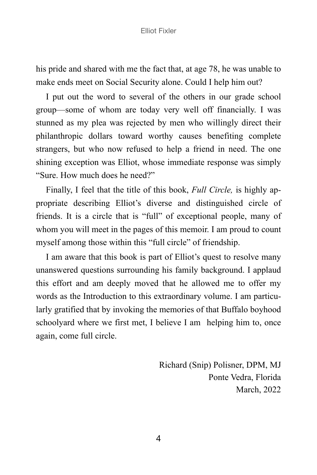his pride and shared with me the fact that, at age 78, he was unable to make ends meet on Social Security alone. Could I help him out?

I put out the word to several of the others in our grade school group—some of whom are today very well off financially. I was stunned as my plea was rejected by men who willingly direct their philanthropic dollars toward worthy causes benefiting complete strangers, but who now refused to help a friend in need. The one shining exception was Elliot, whose immediate response was simply "Sure. How much does he need?"

Finally, I feel that the title of this book, *Full Circle,* is highly appropriate describing Elliot's diverse and distinguished circle of friends. It is a circle that is "full" of exceptional people, many of whom you will meet in the pages of this memoir. I am proud to count myself among those within this "full circle" of friendship.

I am aware that this book is part of Elliot's quest to resolve many unanswered questions surrounding his family background. I applaud this effort and am deeply moved that he allowed me to offer my words as the Introduction to this extraordinary volume. I am particularly gratified that by invoking the memories of that Buffalo boyhood schoolyard where we first met, I believe I am helping him to, once again, come full circle.

> Richard (Snip) Polisner, DPM, MJ Ponte Vedra, Florida March, 2022

4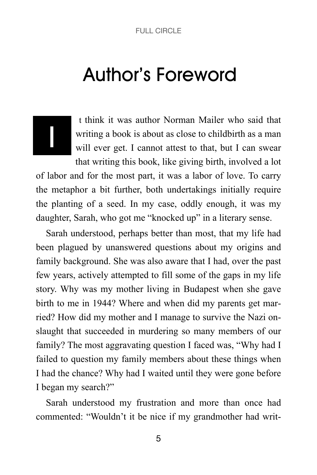# Author's Foreword

# I

 t think it was author Norman Mailer who said that writing a book is about as close to childbirth as a man will ever get. I cannot attest to that, but I can swear that writing this book, like giving birth, involved a lot

of labor and for the most part, it was a labor of love. To carry the metaphor a bit further, both undertakings initially require the planting of a seed. In my case, oddly enough, it was my daughter, Sarah, who got me "knocked up" in a literary sense.

Sarah understood, perhaps better than most, that my life had been plagued by unanswered questions about my origins and family background. She was also aware that I had, over the past few years, actively attempted to fill some of the gaps in my life story. Why was my mother living in Budapest when she gave birth to me in 1944? Where and when did my parents get married? How did my mother and I manage to survive the Nazi onslaught that succeeded in murdering so many members of our family? The most aggravating question I faced was, "Why had I failed to question my family members about these things when I had the chance? Why had I waited until they were gone before I began my search?"

Sarah understood my frustration and more than once had commented: "Wouldn't it be nice if my grandmother had writ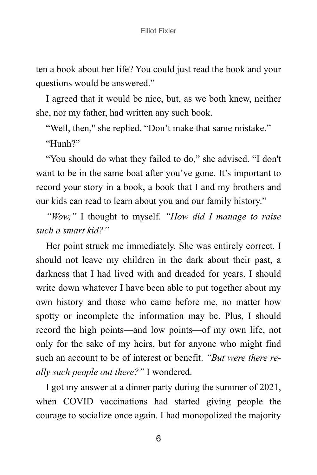ten a book about her life? You could just read the book and your questions would be answered."

I agreed that it would be nice, but, as we both knew, neither she, nor my father, had written any such book.

"Well, then," she replied. "Don't make that same mistake."

"Hunh?"

"You should do what they failed to do," she advised. "I don't want to be in the same boat after you've gone. It's important to record your story in a book, a book that I and my brothers and our kids can read to learn about you and our family history."

*"Wow,"* I thought to myself. *"How did I manage to raise such a smart kid?"*

Her point struck me immediately. She was entirely correct. I should not leave my children in the dark about their past, a darkness that I had lived with and dreaded for years. I should write down whatever I have been able to put together about my own history and those who came before me, no matter how spotty or incomplete the information may be. Plus, I should record the high points—and low points—of my own life, not only for the sake of my heirs, but for anyone who might find such an account to be of interest or benefit. *"But were there really such people out there?"* I wondered.

I got my answer at a dinner party during the summer of 2021, when COVID vaccinations had started giving people the courage to socialize once again. I had monopolized the majority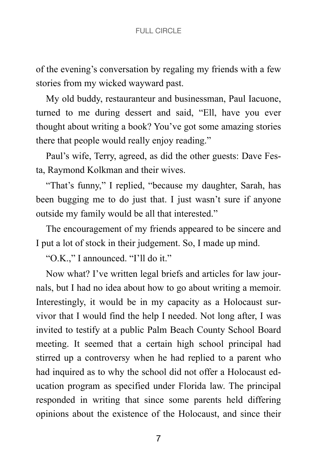of the evening's conversation by regaling my friends with a few stories from my wicked wayward past.

My old buddy, restauranteur and businessman, Paul Iacuone, turned to me during dessert and said, "Ell, have you ever thought about writing a book? You've got some amazing stories there that people would really enjoy reading."

Paul's wife, Terry, agreed, as did the other guests: Dave Festa, Raymond Kolkman and their wives.

"That's funny," I replied, "because my daughter, Sarah, has been bugging me to do just that. I just wasn't sure if anyone outside my family would be all that interested."

The encouragement of my friends appeared to be sincere and I put a lot of stock in their judgement. So, I made up mind.

"O.K.," I announced. "I'll do it."

Now what? I've written legal briefs and articles for law journals, but I had no idea about how to go about writing a memoir. Interestingly, it would be in my capacity as a Holocaust survivor that I would find the help I needed. Not long after, I was invited to testify at a public Palm Beach County School Board meeting. It seemed that a certain high school principal had stirred up a controversy when he had replied to a parent who had inquired as to why the school did not offer a Holocaust education program as specified under Florida law. The principal responded in writing that since some parents held differing opinions about the existence of the Holocaust, and since their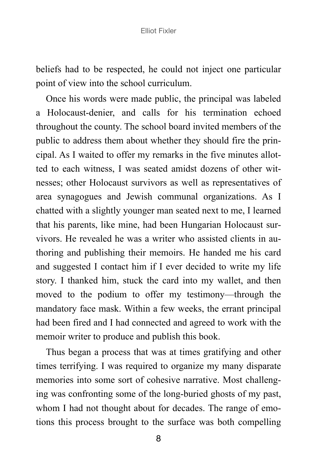beliefs had to be respected, he could not inject one particular point of view into the school curriculum.

Once his words were made public, the principal was labeled a Holocaust-denier, and calls for his termination echoed throughout the county. The school board invited members of the public to address them about whether they should fire the principal. As I waited to offer my remarks in the five minutes allotted to each witness, I was seated amidst dozens of other witnesses; other Holocaust survivors as well as representatives of area synagogues and Jewish communal organizations. As I chatted with a slightly younger man seated next to me, I learned that his parents, like mine, had been Hungarian Holocaust survivors. He revealed he was a writer who assisted clients in authoring and publishing their memoirs. He handed me his card and suggested I contact him if I ever decided to write my life story. I thanked him, stuck the card into my wallet, and then moved to the podium to offer my testimony—through the mandatory face mask. Within a few weeks, the errant principal had been fired and I had connected and agreed to work with the memoir writer to produce and publish this book.

Thus began a process that was at times gratifying and other times terrifying. I was required to organize my many disparate memories into some sort of cohesive narrative. Most challenging was confronting some of the long-buried ghosts of my past, whom I had not thought about for decades. The range of emotions this process brought to the surface was both compelling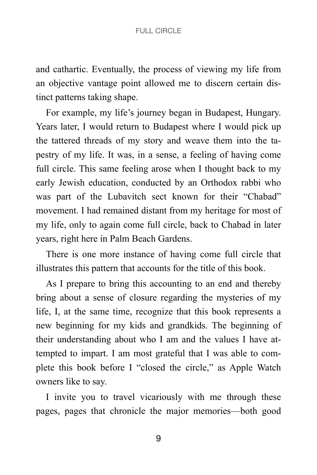and cathartic. Eventually, the process of viewing my life from an objective vantage point allowed me to discern certain distinct patterns taking shape.

For example, my life's journey began in Budapest, Hungary. Years later, I would return to Budapest where I would pick up the tattered threads of my story and weave them into the tapestry of my life. It was, in a sense, a feeling of having come full circle. This same feeling arose when I thought back to my early Jewish education, conducted by an Orthodox rabbi who was part of the Lubavitch sect known for their "Chabad" movement. I had remained distant from my heritage for most of my life, only to again come full circle, back to Chabad in later years, right here in Palm Beach Gardens.

There is one more instance of having come full circle that illustrates this pattern that accounts for the title of this book.

As I prepare to bring this accounting to an end and thereby bring about a sense of closure regarding the mysteries of my life, I, at the same time, recognize that this book represents a new beginning for my kids and grandkids. The beginning of their understanding about who I am and the values I have attempted to impart. I am most grateful that I was able to complete this book before I "closed the circle," as Apple Watch owners like to say.

I invite you to travel vicariously with me through these pages, pages that chronicle the major memories—both good

9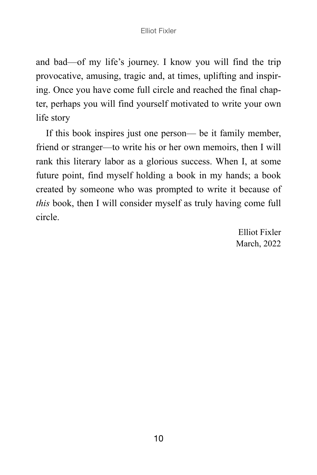and bad—of my life's journey. I know you will find the trip provocative, amusing, tragic and, at times, uplifting and inspiring. Once you have come full circle and reached the final chapter, perhaps you will find yourself motivated to write your own life story

If this book inspires just one person— be it family member, friend or stranger—to write his or her own memoirs, then I will rank this literary labor as a glorious success. When I, at some future point, find myself holding a book in my hands; a book created by someone who was prompted to write it because of *this* book, then I will consider myself as truly having come full circle.

> Elliot Fixler March, 2022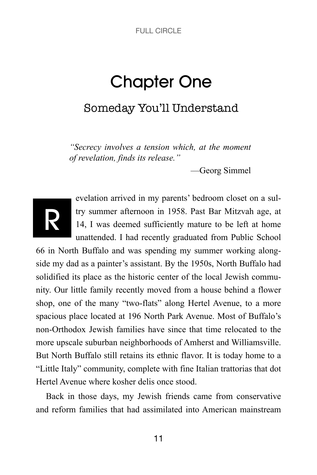# Chapter One

# Someday You'll Understand

*"Secrecy involves a tension which, at the moment of revelation, finds its release."*

—Georg Simmel



evelation arrived in my parents' bedroom closet on a sultry summer afternoon in 1958. Past Bar Mitzvah age, at 14, I was deemed sufficiently mature to be left at home unattended. I had recently graduated from Public School

66 in North Buffalo and was spending my summer working alongside my dad as a painter's assistant. By the 1950s, North Buffalo had solidified its place as the historic center of the local Jewish community. Our little family recently moved from a house behind a flower shop, one of the many "two-flats" along Hertel Avenue, to a more spacious place located at 196 North Park Avenue. Most of Buffalo's non-Orthodox Jewish families have since that time relocated to the more upscale suburban neighborhoods of Amherst and Williamsville. But North Buffalo still retains its ethnic flavor. It is today home to a "Little Italy" community, complete with fine Italian trattorias that dot Hertel Avenue where kosher delis once stood.

Back in those days, my Jewish friends came from conservative and reform families that had assimilated into American mainstream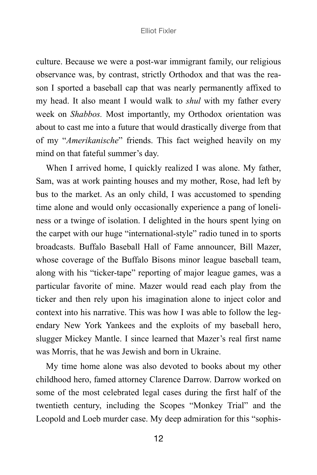culture. Because we were a post-war immigrant family, our religious observance was, by contrast, strictly Orthodox and that was the reason I sported a baseball cap that was nearly permanently affixed to my head. It also meant I would walk to *shul* with my father every week on *Shabbos.* Most importantly, my Orthodox orientation was about to cast me into a future that would drastically diverge from that of my "*Amerikanische*" friends. This fact weighed heavily on my mind on that fateful summer's day.

When I arrived home, I quickly realized I was alone. My father, Sam, was at work painting houses and my mother, Rose, had left by bus to the market. As an only child, I was accustomed to spending time alone and would only occasionally experience a pang of loneliness or a twinge of isolation. I delighted in the hours spent lying on the carpet with our huge "international-style" radio tuned in to sports broadcasts. Buffalo Baseball Hall of Fame announcer, Bill Mazer, whose coverage of the Buffalo Bisons minor league baseball team, along with his "ticker-tape" reporting of major league games, was a particular favorite of mine. Mazer would read each play from the ticker and then rely upon his imagination alone to inject color and context into his narrative. This was how I was able to follow the legendary New York Yankees and the exploits of my baseball hero, slugger Mickey Mantle. I since learned that Mazer's real first name was Morris, that he was Jewish and born in Ukraine.

My time home alone was also devoted to books about my other childhood hero, famed attorney Clarence Darrow. Darrow worked on some of the most celebrated legal cases during the first half of the twentieth century, including the Scopes "Monkey Trial" and the Leopold and Loeb murder case. My deep admiration for this "sophis-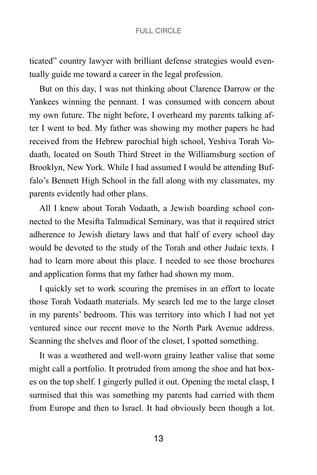ticated" country lawyer with brilliant defense strategies would eventually guide me toward a career in the legal profession.

But on this day, I was not thinking about Clarence Darrow or the Yankees winning the pennant. I was consumed with concern about my own future. The night before, I overheard my parents talking after I went to bed. My father was showing my mother papers he had received from the Hebrew parochial high school, Yeshiva Torah Vodaath, located on South Third Street in the Williamsburg section of Brooklyn, New York. While I had assumed I would be attending Buffalo's Bennett High School in the fall along with my classmates, my parents evidently had other plans.

All I knew about Torah Vodaath, a Jewish boarding school connected to the Mesifta Talmudical Seminary, was that it required strict adherence to Jewish dietary laws and that half of every school day would be devoted to the study of the Torah and other Judaic texts. I had to learn more about this place. I needed to see those brochures and application forms that my father had shown my mom.

I quickly set to work scouring the premises in an effort to locate those Torah Vodaath materials. My search led me to the large closet in my parents' bedroom. This was territory into which I had not yet ventured since our recent move to the North Park Avenue address. Scanning the shelves and floor of the closet, I spotted something.

It was a weathered and well-worn grainy leather valise that some might call a portfolio. It protruded from among the shoe and hat boxes on the top shelf. I gingerly pulled it out. Opening the metal clasp, I surmised that this was something my parents had carried with them from Europe and then to Israel. It had obviously been though a lot.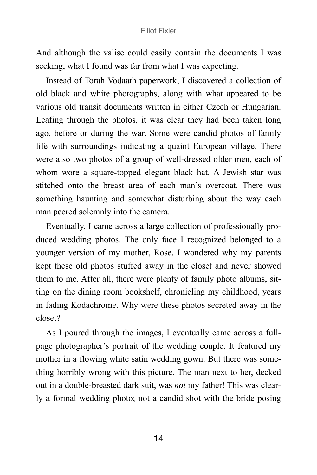And although the valise could easily contain the documents I was seeking, what I found was far from what I was expecting.

Instead of Torah Vodaath paperwork, I discovered a collection of old black and white photographs, along with what appeared to be various old transit documents written in either Czech or Hungarian. Leafing through the photos, it was clear they had been taken long ago, before or during the war. Some were candid photos of family life with surroundings indicating a quaint European village. There were also two photos of a group of well-dressed older men, each of whom wore a square-topped elegant black hat. A Jewish star was stitched onto the breast area of each man's overcoat. There was something haunting and somewhat disturbing about the way each man peered solemnly into the camera.

Eventually, I came across a large collection of professionally produced wedding photos. The only face I recognized belonged to a younger version of my mother, Rose. I wondered why my parents kept these old photos stuffed away in the closet and never showed them to me. After all, there were plenty of family photo albums, sitting on the dining room bookshelf, chronicling my childhood, years in fading Kodachrome. Why were these photos secreted away in the closet?

As I poured through the images, I eventually came across a fullpage photographer's portrait of the wedding couple. It featured my mother in a flowing white satin wedding gown. But there was something horribly wrong with this picture. The man next to her, decked out in a double-breasted dark suit, was *not* my father! This was clearly a formal wedding photo; not a candid shot with the bride posing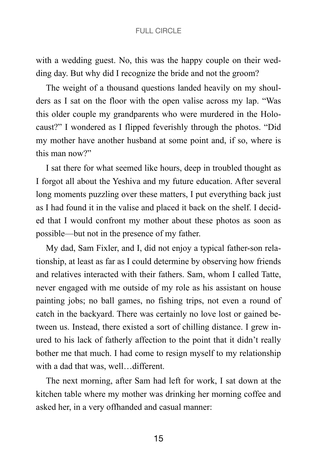with a wedding guest. No, this was the happy couple on their wedding day. But why did I recognize the bride and not the groom?

The weight of a thousand questions landed heavily on my shoulders as I sat on the floor with the open valise across my lap. "Was this older couple my grandparents who were murdered in the Holocaust?" I wondered as I flipped feverishly through the photos. "Did my mother have another husband at some point and, if so, where is this man now?"

I sat there for what seemed like hours, deep in troubled thought as I forgot all about the Yeshiva and my future education. After several long moments puzzling over these matters, I put everything back just as I had found it in the valise and placed it back on the shelf. I decided that I would confront my mother about these photos as soon as possible—but not in the presence of my father.

My dad, Sam Fixler, and I, did not enjoy a typical father-son relationship, at least as far as I could determine by observing how friends and relatives interacted with their fathers. Sam, whom I called Tatte, never engaged with me outside of my role as his assistant on house painting jobs; no ball games, no fishing trips, not even a round of catch in the backyard. There was certainly no love lost or gained between us. Instead, there existed a sort of chilling distance. I grew inured to his lack of fatherly affection to the point that it didn't really bother me that much. I had come to resign myself to my relationship with a dad that was, well...different.

The next morning, after Sam had left for work, I sat down at the kitchen table where my mother was drinking her morning coffee and asked her, in a very offhanded and casual manner: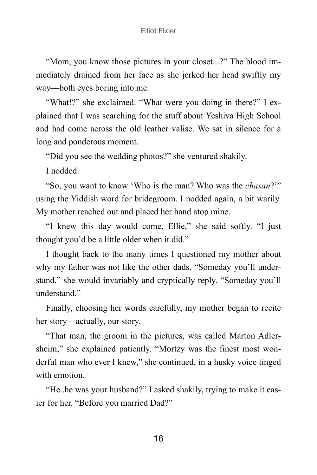"Mom, you know those pictures in your closet...?" The blood immediately drained from her face as she jerked her head swiftly my way—both eyes boring into me.

"What!?" she exclaimed. "What were you doing in there?" I explained that I was searching for the stuff about Yeshiva High School and had come across the old leather valise. We sat in silence for a long and ponderous moment.

"Did you see the wedding photos?" she ventured shakily.

I nodded.

"So, you want to know 'Who is the man? Who was the *chasan*?'" using the Yiddish word for bridegroom. I nodded again, a bit warily. My mother reached out and placed her hand atop mine.

"I knew this day would come, Ellie," she said softly. "I just thought you'd be a little older when it did."

I thought back to the many times I questioned my mother about why my father was not like the other dads. "Someday you'll understand," she would invariably and cryptically reply. "Someday you'll understand<sup>"</sup>

Finally, choosing her words carefully, my mother began to recite her story—actually, our story.

"That man, the groom in the pictures, was called Marton Adlersheim," she explained patiently. "Mortzy was the finest most wonderful man who ever I knew," she continued, in a husky voice tinged with emotion.

"He..he was your husband?" I asked shakily, trying to make it easier for her. "Before you married Dad?"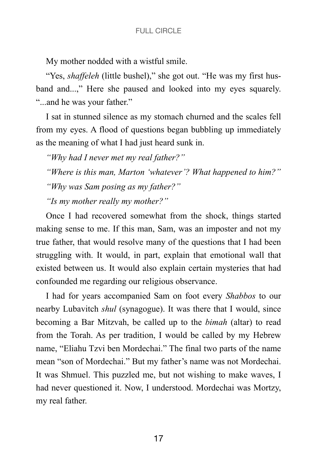My mother nodded with a wistful smile.

"Yes, *shaffeleh* (little bushel)," she got out. "He was my first husband and...," Here she paused and looked into my eyes squarely. "...and he was your father."

I sat in stunned silence as my stomach churned and the scales fell from my eyes. A flood of questions began bubbling up immediately as the meaning of what I had just heard sunk in.

*"Why had I never met my real father?"*

*"Where is this man, Marton 'whatever'? What happened to him?"*

*"Why was Sam posing as my father?"*

*"Is my mother really my mother?"*

Once I had recovered somewhat from the shock, things started making sense to me. If this man, Sam, was an imposter and not my true father, that would resolve many of the questions that I had been struggling with. It would, in part, explain that emotional wall that existed between us. It would also explain certain mysteries that had confounded me regarding our religious observance.

I had for years accompanied Sam on foot every *Shabbos* to our nearby Lubavitch *shul* (synagogue). It was there that I would, since becoming a Bar Mitzvah, be called up to the *bimah* (altar) to read from the Torah. As per tradition, I would be called by my Hebrew name, "Eliahu Tzvi ben Mordechai." The final two parts of the name mean "son of Mordechai." But my father's name was not Mordechai. It was Shmuel. This puzzled me, but not wishing to make waves, I had never questioned it. Now, I understood. Mordechai was Mortzy, my real father.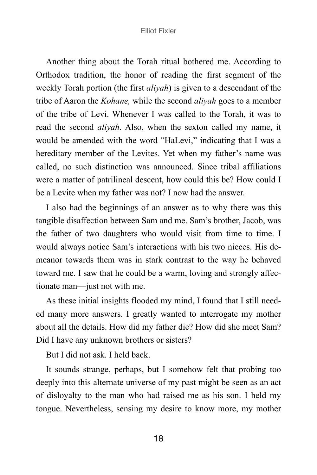Another thing about the Torah ritual bothered me. According to Orthodox tradition, the honor of reading the first segment of the weekly Torah portion (the first *aliyah*) is given to a descendant of the tribe of Aaron the *Kohane,* while the second *aliyah* goes to a member of the tribe of Levi. Whenever I was called to the Torah, it was to read the second *aliyah*. Also, when the sexton called my name, it would be amended with the word "HaLevi," indicating that I was a hereditary member of the Levites. Yet when my father's name was called, no such distinction was announced. Since tribal affiliations were a matter of patrilineal descent, how could this be? How could I be a Levite when my father was not? I now had the answer.

I also had the beginnings of an answer as to why there was this tangible disaffection between Sam and me. Sam's brother, Jacob, was the father of two daughters who would visit from time to time. I would always notice Sam's interactions with his two nieces. His demeanor towards them was in stark contrast to the way he behaved toward me. I saw that he could be a warm, loving and strongly affectionate man—just not with me.

As these initial insights flooded my mind, I found that I still needed many more answers. I greatly wanted to interrogate my mother about all the details. How did my father die? How did she meet Sam? Did I have any unknown brothers or sisters?

But I did not ask. I held back.

It sounds strange, perhaps, but I somehow felt that probing too deeply into this alternate universe of my past might be seen as an act of disloyalty to the man who had raised me as his son. I held my tongue. Nevertheless, sensing my desire to know more, my mother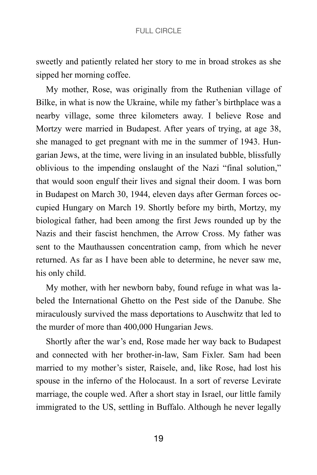sweetly and patiently related her story to me in broad strokes as she sipped her morning coffee.

My mother, Rose, was originally from the Ruthenian village of Bilke, in what is now the Ukraine, while my father's birthplace was a nearby village, some three kilometers away. I believe Rose and Mortzy were married in Budapest. After years of trying, at age 38, she managed to get pregnant with me in the summer of 1943. Hungarian Jews, at the time, were living in an insulated bubble, blissfully oblivious to the impending onslaught of the Nazi "final solution," that would soon engulf their lives and signal their doom. I was born in Budapest on March 30, 1944, eleven days after German forces occupied Hungary on March 19. Shortly before my birth, Mortzy, my biological father, had been among the first Jews rounded up by the Nazis and their fascist henchmen, the Arrow Cross. My father was sent to the Mauthaussen concentration camp, from which he never returned. As far as I have been able to determine, he never saw me, his only child.

My mother, with her newborn baby, found refuge in what was labeled the International Ghetto on the Pest side of the Danube. She miraculously survived the mass deportations to Auschwitz that led to the murder of more than 400,000 Hungarian Jews.

Shortly after the war's end, Rose made her way back to Budapest and connected with her brother-in-law, Sam Fixler. Sam had been married to my mother's sister, Raisele, and, like Rose, had lost his spouse in the inferno of the Holocaust. In a sort of reverse Levirate marriage, the couple wed. After a short stay in Israel, our little family immigrated to the US, settling in Buffalo. Although he never legally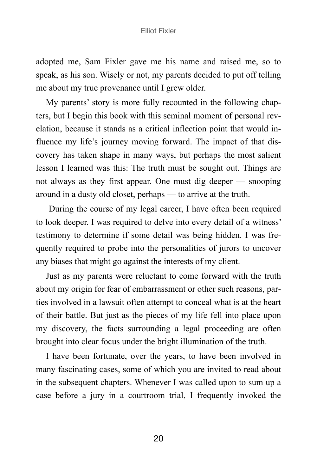adopted me, Sam Fixler gave me his name and raised me, so to speak, as his son. Wisely or not, my parents decided to put off telling me about my true provenance until I grew older.

My parents' story is more fully recounted in the following chapters, but I begin this book with this seminal moment of personal revelation, because it stands as a critical inflection point that would influence my life's journey moving forward. The impact of that discovery has taken shape in many ways, but perhaps the most salient lesson I learned was this: The truth must be sought out. Things are not always as they first appear. One must dig deeper — snooping around in a dusty old closet, perhaps — to arrive at the truth.

 During the course of my legal career, I have often been required to look deeper. I was required to delve into every detail of a witness' testimony to determine if some detail was being hidden. I was frequently required to probe into the personalities of jurors to uncover any biases that might go against the interests of my client.

Just as my parents were reluctant to come forward with the truth about my origin for fear of embarrassment or other such reasons, parties involved in a lawsuit often attempt to conceal what is at the heart of their battle. But just as the pieces of my life fell into place upon my discovery, the facts surrounding a legal proceeding are often brought into clear focus under the bright illumination of the truth.

I have been fortunate, over the years, to have been involved in many fascinating cases, some of which you are invited to read about in the subsequent chapters. Whenever I was called upon to sum up a case before a jury in a courtroom trial, I frequently invoked the